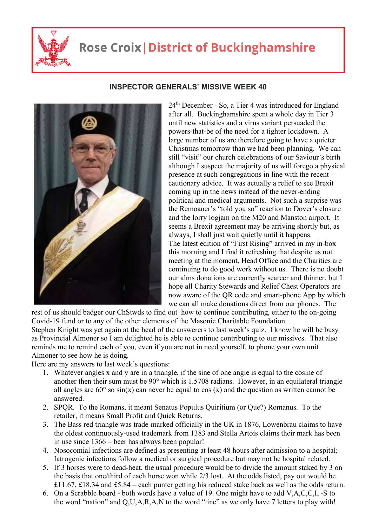

## **Rose Croix | District of Buckinghamshire**



## **INSPECTOR GENERALS' MISSIVE WEEK 40**

24th December - So, a Tier 4 was introduced for England after all. Buckinghamshire spent a whole day in Tier 3 until new statistics and a virus variant persuaded the powers-that-be of the need for a tighter lockdown. A large number of us are therefore going to have a quieter Christmas tomorrow than we had been planning. We can still "visit" our church celebrations of our Saviour's birth although I suspect the majority of us will forego a physical presence at such congregations in line with the recent cautionary advice. It was actually a relief to see Brexit coming up in the news instead of the never-ending political and medical arguments. Not such a surprise was the Remoaner's "told you so" reaction to Dover's closure and the lorry logjam on the M20 and Manston airport. It seems a Brexit agreement may be arriving shortly but, as always, I shall just wait quietly until it happens. The latest edition of "First Rising" arrived in my in-box this morning and I find it refreshing that despite us not meeting at the moment, Head Office and the Charities are continuing to do good work without us. There is no doubt our alms donations are currently scarcer and thinner, but I hope all Charity Stewards and Relief Chest Operators are now aware of the QR code and smart-phone App by which we can all make donations direct from our phones. The

rest of us should badger our ChStwds to find out how to continue contributing, either to the on-going Covid-19 fund or to any of the other elements of the Masonic Charitable Foundation. Stephen Knight was yet again at the head of the answerers to last week's quiz. I know he will be busy as Provincial Almoner so I am delighted he is able to continue contributing to our missives. That also reminds me to remind each of you, even if you are not in need yourself, to phone your own unit Almoner to see how he is doing.

Here are my answers to last week's questions:

- 1. Whatever angles x and y are in a triangle, if the sine of one angle is equal to the cosine of another then their sum must be 90° which is 1.5708 radians. However, in an equilateral triangle all angles are  $60^{\circ}$  so  $sin(x)$  can never be equal to cos (x) and the question as written cannot be answered.
- 2. SPQR. To the Romans, it meant Senatus Populus Quiritium (or Que?) Romanus. To the retailer, it means Small Profit and Quick Returns.
- 3. The Bass red triangle was trade-marked officially in the UK in 1876, Lowenbrau claims to have the oldest continuously-used trademark from 1383 and Stella Artois claims their mark has been in use since 1366 – beer has always been popular!
- 4. Nosocomial infections are defined as presenting at least 48 hours after admission to a hospital; Iatrogenic infections follow a medical or surgical procedure but may not be hospital related.
- 5. If 3 horses were to dead-heat, the usual procedure would be to divide the amount staked by 3 on the basis that one/third of each horse won while 2/3 lost. At the odds listed, pay out would be £11.67, £18.34 and £5.84 – each punter getting his reduced stake back as well as the odds return.
- 6. On a Scrabble board both words have a value of 19. One might have to add V,A,C,C,I, -S to the word "nation" and Q,U,A,R,A,N to the word "tine" as we only have 7 letters to play with!